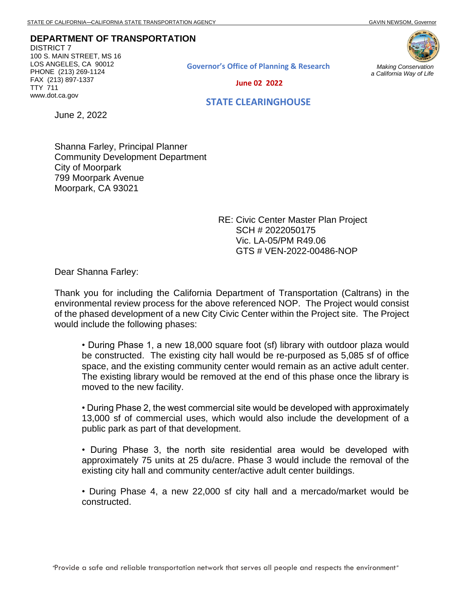**DEPARTMENT OF TRANSPORTATION**

DISTRICT 7 100 S. MAIN STREET, MS 16 LOS ANGELES, CA 90012 PHONE (213) 269-1124 FAX (213) 897-1337 TTY 711 www.dot.ca.gov





*Making Conservation a California Way of Life*

 **June 02 2022**

## **STATE CLEARINGHOUSE**

June 2, 2022

Shanna Farley, Principal Planner Community Development Department City of Moorpark 799 Moorpark Avenue Moorpark, CA 93021

> RE: Civic Center Master Plan Project SCH # 2022050175 Vic. LA-05/PM R49.06 GTS # VEN-2022-00486-NOP

Dear Shanna Farley:

Thank you for including the California Department of Transportation (Caltrans) in the environmental review process for the above referenced NOP. The Project would consist of the phased development of a new City Civic Center within the Project site. The Project would include the following phases:

• During Phase 1, a new 18,000 square foot (sf) library with outdoor plaza would be constructed. The existing city hall would be re-purposed as 5,085 sf of office space, and the existing community center would remain as an active adult center. The existing library would be removed at the end of this phase once the library is moved to the new facility.

• During Phase 2, the west commercial site would be developed with approximately 13,000 sf of commercial uses, which would also include the development of a public park as part of that development.

• During Phase 3, the north site residential area would be developed with approximately 75 units at 25 du/acre. Phase 3 would include the removal of the existing city hall and community center/active adult center buildings.

• During Phase 4, a new 22,000 sf city hall and a mercado/market would be constructed.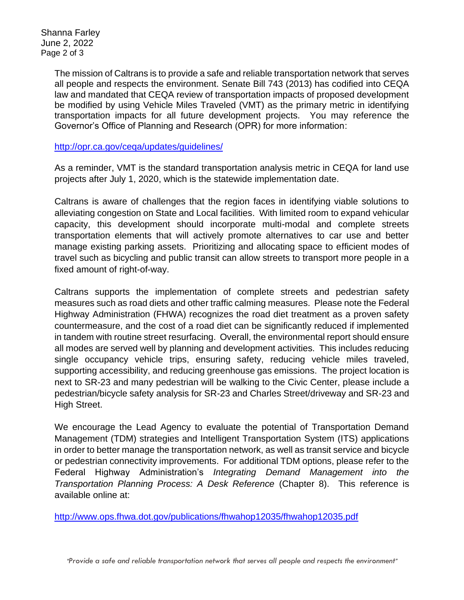Shanna Farley June 2, 2022 Page 2 of 3

> The mission of Caltrans is to provide a safe and reliable transportation network that serves all people and respects the environment. Senate Bill 743 (2013) has codified into CEQA law and mandated that CEQA review of transportation impacts of proposed development be modified by using Vehicle Miles Traveled (VMT) as the primary metric in identifying transportation impacts for all future development projects. You may reference the Governor's Office of Planning and Research (OPR) for more information:

<http://opr.ca.gov/ceqa/updates/guidelines/>

As a reminder, VMT is the standard transportation analysis metric in CEQA for land use projects after July 1, 2020, which is the statewide implementation date.

Caltrans is aware of challenges that the region faces in identifying viable solutions to alleviating congestion on State and Local facilities. With limited room to expand vehicular capacity, this development should incorporate multi-modal and complete streets transportation elements that will actively promote alternatives to car use and better manage existing parking assets. Prioritizing and allocating space to efficient modes of travel such as bicycling and public transit can allow streets to transport more people in a fixed amount of right-of-way.

Caltrans supports the implementation of complete streets and pedestrian safety measures such as road diets and other traffic calming measures. Please note the Federal Highway Administration (FHWA) recognizes the road diet treatment as a proven safety countermeasure, and the cost of a road diet can be significantly reduced if implemented in tandem with routine street resurfacing. Overall, the environmental report should ensure all modes are served well by planning and development activities. This includes reducing single occupancy vehicle trips, ensuring safety, reducing vehicle miles traveled, supporting accessibility, and reducing greenhouse gas emissions. The project location is next to SR-23 and many pedestrian will be walking to the Civic Center, please include a pedestrian/bicycle safety analysis for SR-23 and Charles Street/driveway and SR-23 and High Street.

We encourage the Lead Agency to evaluate the potential of Transportation Demand Management (TDM) strategies and Intelligent Transportation System (ITS) applications in order to better manage the transportation network, as well as transit service and bicycle or pedestrian connectivity improvements. For additional TDM options, please refer to the Federal Highway Administration's *Integrating Demand Management into the Transportation Planning Process: A Desk Reference* (Chapter 8).This reference is available online at:

<http://www.ops.fhwa.dot.gov/publications/fhwahop12035/fhwahop12035.pdf>

*"Provide a safe and reliable transportation network that serves all people and respects the environment"*